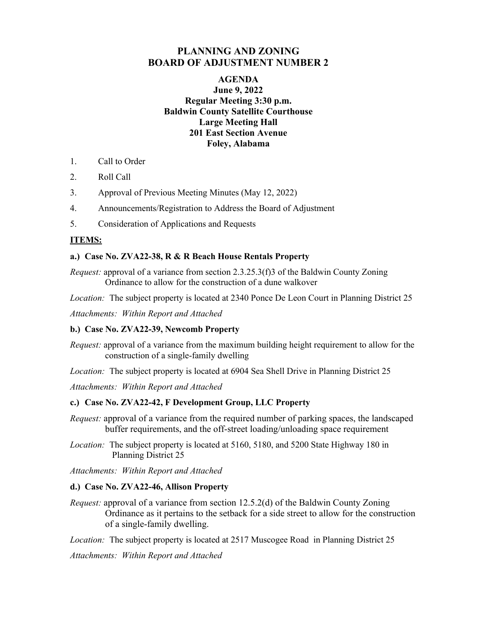# **PLANNING AND ZONING BOARD OF ADJUSTMENT NUMBER 2**

### **AGENDA June 9, 2022 Regular Meeting 3:30 p.m. Baldwin County Satellite Courthouse Large Meeting Hall 201 East Section Avenue Foley, Alabama**

- 1. Call to Order
- 2. Roll Call
- 3. Approval of Previous Meeting Minutes (May 12, 2022)
- 4. Announcements/Registration to Address the Board of Adjustment
- 5. Consideration of Applications and Requests

## **ITEMS:**

#### **a.) Case No. ZVA22-38, R & R Beach House Rentals Property**

*Request:* approval of a variance from section 2.3.25.3(f)3 of the Baldwin County Zoning Ordinance to allow for the construction of a dune walkover

*Location:* The subject property is located at 2340 Ponce De Leon Court in Planning District 25

*Attachments: Within Report and Attached* 

#### **b.) Case No. ZVA22-39, Newcomb Property**

*Request:* approval of a variance from the maximum building height requirement to allow for the construction of a single-family dwelling

*Location:* The subject property is located at 6904 Sea Shell Drive in Planning District 25

*Attachments: Within Report and Attached* 

#### **c.) Case No. ZVA22-42, F Development Group, LLC Property**

*Request:* approval of a variance from the required number of parking spaces, the landscaped buffer requirements, and the off-street loading/unloading space requirement

*Location:* The subject property is located at 5160, 5180, and 5200 State Highway 180 in Planning District 25

*Attachments: Within Report and Attached* 

#### **d.) Case No. ZVA22-46, Allison Property**

*Request:* approval of a variance from section 12.5.2(d) of the Baldwin County Zoning Ordinance as it pertains to the setback for a side street to allow for the construction of a single-family dwelling.

*Location:* The subject property is located at 2517 Muscogee Road in Planning District 25

*Attachments: Within Report and Attached*